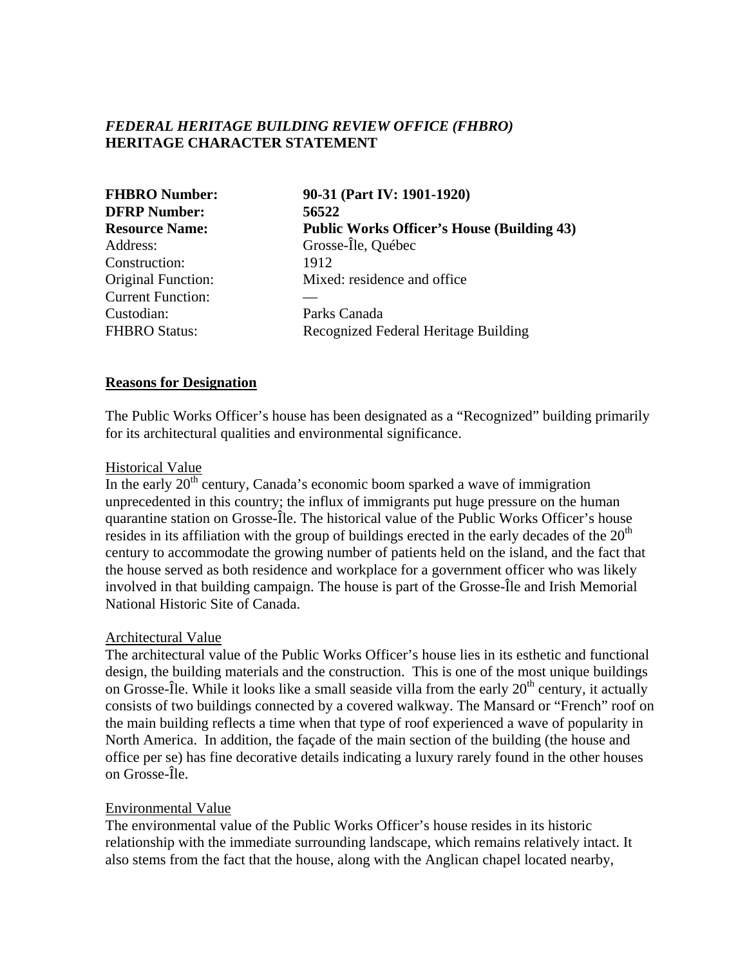# *FEDERAL HERITAGE BUILDING REVIEW OFFICE (FHBRO)* **HERITAGE CHARACTER STATEMENT**

| <b>FHBRO Number:</b><br><b>DFRP Number:</b><br><b>Resource Name:</b> | 90-31 (Part IV: 1901-1920)<br>56522<br><b>Public Works Officer's House (Building 43)</b> |               |                    |
|----------------------------------------------------------------------|------------------------------------------------------------------------------------------|---------------|--------------------|
|                                                                      |                                                                                          | Address:      | Grosse-Île, Québec |
|                                                                      |                                                                                          | Construction: | 1912               |
| <b>Original Function:</b>                                            | Mixed: residence and office                                                              |               |                    |
| <b>Current Function:</b>                                             |                                                                                          |               |                    |
| Custodian:                                                           | Parks Canada                                                                             |               |                    |
| <b>FHBRO Status:</b>                                                 | Recognized Federal Heritage Building                                                     |               |                    |

### **Reasons for Designation**

The Public Works Officer's house has been designated as a "Recognized" building primarily for its architectural qualities and environmental significance.

### Historical Value

In the early  $20<sup>th</sup>$  century, Canada's economic boom sparked a wave of immigration unprecedented in this country; the influx of immigrants put huge pressure on the human quarantine station on Grosse-Île. The historical value of the Public Works Officer's house resides in its affiliation with the group of buildings erected in the early decades of the  $20<sup>th</sup>$ century to accommodate the growing number of patients held on the island, and the fact that the house served as both residence and workplace for a government officer who was likely involved in that building campaign. The house is part of the Grosse-Île and Irish Memorial National Historic Site of Canada.

#### Architectural Value

The architectural value of the Public Works Officer's house lies in its esthetic and functional design, the building materials and the construction. This is one of the most unique buildings on Grosse-Île. While it looks like a small seaside villa from the early  $20<sup>th</sup>$  century, it actually consists of two buildings connected by a covered walkway. The Mansard or "French" roof on the main building reflects a time when that type of roof experienced a wave of popularity in North America. In addition, the façade of the main section of the building (the house and office per se) has fine decorative details indicating a luxury rarely found in the other houses on Grosse-Île.

#### Environmental Value

The environmental value of the Public Works Officer's house resides in its historic relationship with the immediate surrounding landscape, which remains relatively intact. It also stems from the fact that the house, along with the Anglican chapel located nearby,